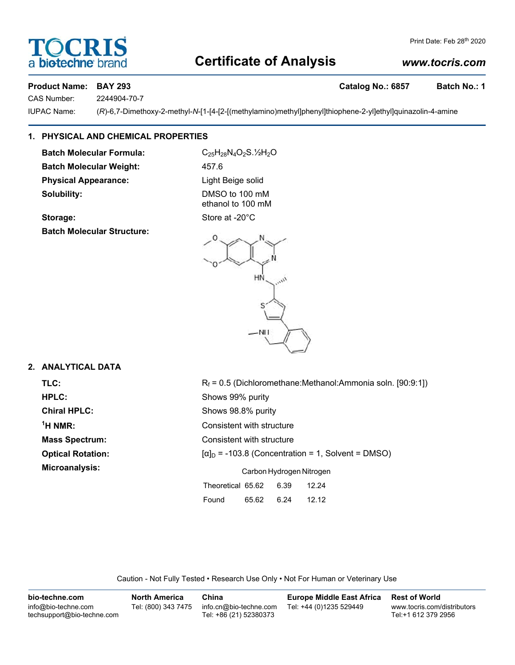# **Certificate of Analysis**

# *www.tocris.com*

Print Date: Feb 28th 2020

### **Product Name: BAY 293 Catalog No.: 6857 Batch No.: 1**

CAS Number: 2244904-70-7

IUPAC Name: (*R*)-6,7-Dimethoxy-2-methyl-*N*-[1-[4-[2-[(methylamino)methyl]phenyl]thiophene-2-yl]ethyl]quinazolin-4-amine

# **1. PHYSICAL AND CHEMICAL PROPERTIES**

**Batch Molecular Formula:** C<sub>25</sub>H<sub>28</sub>N<sub>4</sub>O<sub>2</sub>S.<sup>1</sup>/<sub>2</sub>N<sub>2</sub>O **Batch Molecular Weight:** 457.6 **Physical Appearance:** Light Beige solid **Solubility:** DMSO to 100 mM

**Storage:** Store at -20°C **Batch Molecular Structure:**

ethanol to 100 mM

HŃ **NH** 

# **2. ANALYTICAL DATA**

<sup>1</sup>H NMR:

**TLC:** Rf = 0.5 (Dichloromethane:Methanol:Ammonia soln. [90:9:1]) **HPLC:** Shows 99% purity **Chiral HPLC:** Shows 98.8% purity **Consistent with structure Mass Spectrum:** Consistent with structure **Optical Rotation:**  $\begin{bmatrix} \alpha \end{bmatrix}_D = -103.8$  (Concentration = 1, Solvent = DMSO) **Microanalysis:** Carbon Hydrogen Nitrogen Theoretical 65.62 6.39 12.24 Found 65.62 6.24 12.12

Caution - Not Fully Tested • Research Use Only • Not For Human or Veterinary Use

| bio-techne.com                                    | <b>North America</b> | China                                            | <b>Europe Middle East Africa</b> | <b>Rest of World</b>                               |
|---------------------------------------------------|----------------------|--------------------------------------------------|----------------------------------|----------------------------------------------------|
| info@bio-techne.com<br>techsupport@bio-techne.com | Tel: (800) 343 7475  | info.cn@bio-techne.com<br>Tel: +86 (21) 52380373 | Tel: +44 (0)1235 529449          | www.tocris.com/distributors<br>Tel:+1 612 379 2956 |

# **DCRI biotechne**